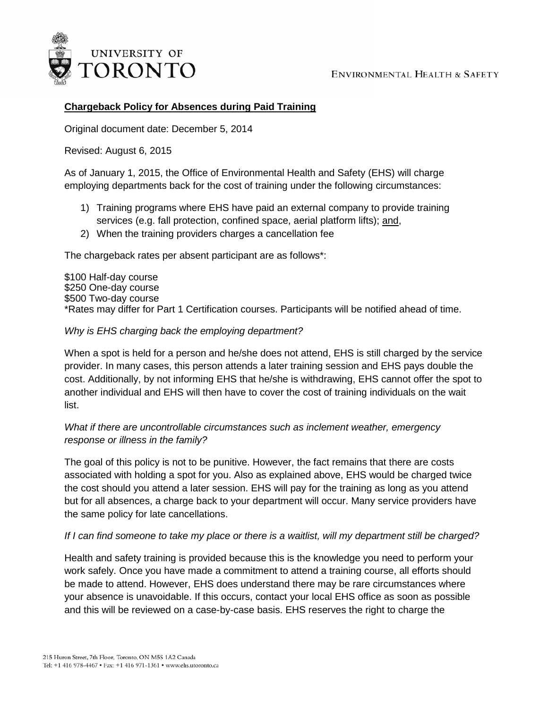

# **Chargeback Policy for Absences during Paid Training**

Original document date: December 5, 2014

Revised: August 6, 2015

As of January 1, 2015, the Office of Environmental Health and Safety (EHS) will charge employing departments back for the cost of training under the following circumstances:

- 1) Training programs where EHS have paid an external company to provide training services (e.g. fall protection, confined space, aerial platform lifts); and,
- 2) When the training providers charges a cancellation fee

The chargeback rates per absent participant are as follows\*:

\$100 Half-day course \$250 One-day course \$500 Two-day course \*Rates may differ for Part 1 Certification courses. Participants will be notified ahead of time.

### *Why is EHS charging back the employing department?*

When a spot is held for a person and he/she does not attend, EHS is still charged by the service provider. In many cases, this person attends a later training session and EHS pays double the cost. Additionally, by not informing EHS that he/she is withdrawing, EHS cannot offer the spot to another individual and EHS will then have to cover the cost of training individuals on the wait list.

# *What if there are uncontrollable circumstances such as inclement weather, emergency response or illness in the family?*

The goal of this policy is not to be punitive. However, the fact remains that there are costs associated with holding a spot for you. Also as explained above, EHS would be charged twice the cost should you attend a later session. EHS will pay for the training as long as you attend but for all absences, a charge back to your department will occur. Many service providers have the same policy for late cancellations.

### *If I can find someone to take my place or there is a waitlist, will my department still be charged?*

Health and safety training is provided because this is the knowledge you need to perform your work safely. Once you have made a commitment to attend a training course, all efforts should be made to attend. However, EHS does understand there may be rare circumstances where your absence is unavoidable. If this occurs, contact your local EHS office as soon as possible and this will be reviewed on a case-by-case basis. EHS reserves the right to charge the